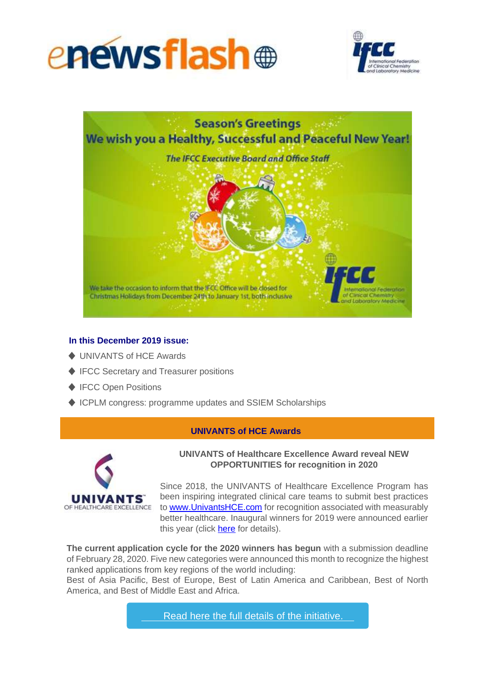





# **In this December 2019 issue:**

- ♦ UNIVANTS of HCE Awards
- ♦ IFCC Secretary and Treasurer positions
- ♦ IFCC Open Positions
- ♦ ICPLM congress: programme updates and SSIEM Scholarships

### **UNIVANTS of HCE Awards**



## **UNIVANTS of Healthcare Excellence Award reveal NEW OPPORTUNITIES for recognition in 2020**

Since 2018, the UNIVANTS of Healthcare Excellence Program has been inspiring integrated clinical care teams to submit best practices to [www.UnivantsHCE.com](http://www.univantshce.com/) for recognition associated with measurably better healthcare. Inaugural winners for 2019 were announced earlier this year (click [here](http://ifcc.musvc1.net/e/t?q=6%3dDe8cG%26I%3d1%26G%3d8X5Z%26v%3dX3%26N%3doQtIz_OQvW_Za_KXzP_Um_OQvW_YfP4T.i9j0.oKn_OQvW_YfFlAi4_yxSs_9C4ZEX1Z_yxSs_9C2c8f-0a-GY-i9j04h8a-uGpSaG1P.p7m%26A%3dmNzScT.uBt%26Bz%3dY1X0) for details).

**The current application cycle for the 2020 winners has begun** with a submission deadline of February 28, 2020. Five new categories were announced this month to recognize the highest ranked applications from key regions of the world including:

Best of Asia Pacific, Best of Europe, Best of Latin America and Caribbean, Best of North America, and Best of Middle East and Africa.

Read here the full details of the [initiative.](http://ifcc.musvc1.net/e/t?q=9%3dMbTfP%26F%3dM%26J%3dGUQc%265%3dUO%26Q%3dxNFL9_Lmyf_Ww_Ngwl_Xv_Lmyf_V2SCQ.5Bs7.ANw_Lmyf_V2Iu857_8uov_H0PcNVPW_8uov_H0NfGc-MX-GZ-5Bs77q5w-GJyPwJ0M-DAB9wH-49I-K6JAN0O0E0C1O-vID-Nu7AC4CFE5H-5J-HdNf.682%260%3d3OERsU.0A0%26CE%3dXGYO)